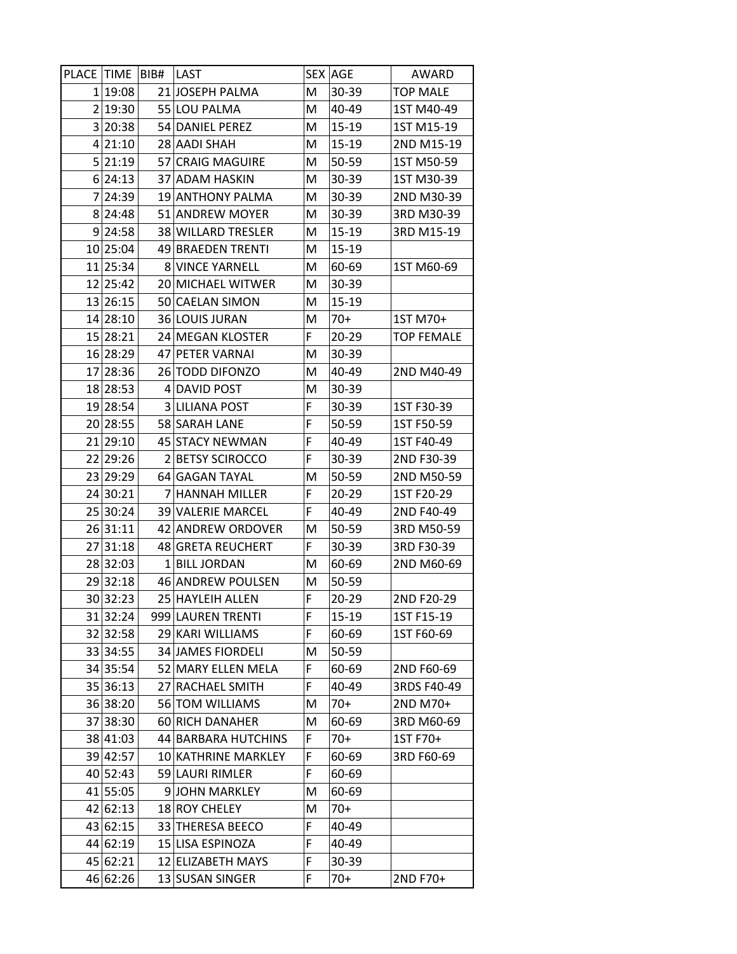| PLACE TIME BIB# |          |              | LAST                  |    | SEX AGE | AWARD           |
|-----------------|----------|--------------|-----------------------|----|---------|-----------------|
|                 | 1 19:08  |              | 21 JOSEPH PALMA       | M  | 30-39   | <b>TOP MALE</b> |
|                 | 2 19:30  |              | 55 LOU PALMA          | Μ  | 40-49   | 1ST M40-49      |
|                 | 3 20:38  |              | 54 DANIEL PEREZ       | Μ  | 15-19   | 1ST M15-19      |
|                 | 4 21:10  |              | 28 AADI SHAH          | Μ  | 15-19   | 2ND M15-19      |
|                 | 5 21:19  |              | 57 CRAIG MAGUIRE      | М  | 50-59   | 1ST M50-59      |
|                 | 6 24:13  |              | 37 ADAM HASKIN        | Μ  | 30-39   | 1ST M30-39      |
|                 | 7 24:39  |              | 19 ANTHONY PALMA      | Μ  | 30-39   | 2ND M30-39      |
|                 | 8 24:48  | 51           | <b>ANDREW MOYER</b>   | Μ  | 30-39   | 3RD M30-39      |
|                 | 9 24:58  |              | 38 WILLARD TRESLER    | Μ  | 15-19   | 3RD M15-19      |
|                 | 10 25:04 |              | 49 BRAEDEN TRENTI     | Μ  | 15-19   |                 |
|                 | 11 25:34 | 8            | <b>VINCE YARNELL</b>  | Μ  | 60-69   | 1ST M60-69      |
|                 | 12 25:42 |              | 20 MICHAEL WITWER     | Μ  | 30-39   |                 |
|                 | 13 26:15 |              | 50 CAELAN SIMON       | M  | 15-19   |                 |
|                 | 14 28:10 |              | 36 LOUIS JURAN        | Μ  | 70+     | 1ST M70+        |
|                 | 15 28:21 |              | 24 MEGAN KLOSTER      | F. | 20-29   | TOP FEMALE      |
|                 | 16 28:29 |              | 47 PETER VARNAI       | Μ  | 30-39   |                 |
|                 | 17 28:36 |              | 26 TODD DIFONZO       | м  | 40-49   | 2ND M40-49      |
|                 | 18 28:53 |              | 4 DAVID POST          | Μ  | 30-39   |                 |
|                 | 19 28:54 |              | 3 LILIANA POST        | F  | 30-39   | 1ST F30-39      |
|                 | 20 28:55 |              | 58 SARAH LANE         | F  | 50-59   | 1ST F50-59      |
|                 | 21 29:10 | 45           | <b>STACY NEWMAN</b>   | F  | 40-49   | 1ST F40-49      |
|                 | 22 29:26 |              | 2 BETSY SCIROCCO      | F  | 30-39   | 2ND F30-39      |
|                 | 23 29:29 |              | 64 GAGAN TAYAL        | м  | 50-59   | 2ND M50-59      |
|                 | 24 30:21 | 7            | <b>HANNAH MILLER</b>  | F  | 20-29   | 1ST F20-29      |
|                 | 25 30:24 |              | 39 VALERIE MARCEL     | F  | 40-49   | 2ND F40-49      |
|                 | 26 31:11 | 42           | <b>ANDREW ORDOVER</b> | Μ  | 50-59   | 3RD M50-59      |
| 27              | 31:18    | 48           | <b>GRETA REUCHERT</b> | F  | 30-39   | 3RD F30-39      |
|                 | 28 32:03 | $\mathbf{1}$ | <b>BILL JORDAN</b>    | Μ  | 60-69   | 2ND M60-69      |
|                 | 29 32:18 |              | 46 ANDREW POULSEN     | Μ  | 50-59   |                 |
|                 | 30 32:23 |              | 25 HAYLEIH ALLEN      | F  | 20-29   | 2ND F20-29      |
|                 | 31 32:24 |              | 999 LAUREN TRENTI     | F  | 15-19   | 1ST F15-19      |
| 32              | 32:58    |              | 29 KARI WILLIAMS      | F  | 60-69   | 1ST F60-69      |
|                 | 33 34:55 |              | 34 JAMES FIORDELI     | Μ  | 50-59   |                 |
|                 | 34 35:54 |              | 52 MARY ELLEN MELA    | F  | 60-69   | 2ND F60-69      |
|                 | 35 36:13 | 27           | <b>RACHAEL SMITH</b>  | F  | 40-49   | 3RDS F40-49     |
|                 | 36 38:20 |              | 56 TOM WILLIAMS       | M  | 70+     | 2ND M70+        |
| 37              | 38:30    |              | 60 RICH DANAHER       | Μ  | 60-69   | 3RD M60-69      |
|                 | 38 41:03 |              | 44 BARBARA HUTCHINS   | F  | 70+     | 1ST F70+        |
|                 | 39 42:57 |              | 10 KATHRINE MARKLEY   | F  | 60-69   | 3RD F60-69      |
|                 | 40 52:43 |              | 59 LAURI RIMLER       | F  | 60-69   |                 |
| 41              | 55:05    |              | 9JOHN MARKLEY         | Μ  | 60-69   |                 |
|                 | 42 62:13 |              | 18 ROY CHELEY         | Μ  | 70+     |                 |
|                 | 43 62:15 | 33           | <b>THERESA BEECO</b>  | F  | 40-49   |                 |
|                 | 44 62:19 |              | 15 LISA ESPINOZA      | F  | 40-49   |                 |
|                 | 45 62:21 |              | 12 ELIZABETH MAYS     | F  | 30-39   |                 |
|                 | 46 62:26 | 13           | <b>SUSAN SINGER</b>   | F  | 70+     | 2ND F70+        |